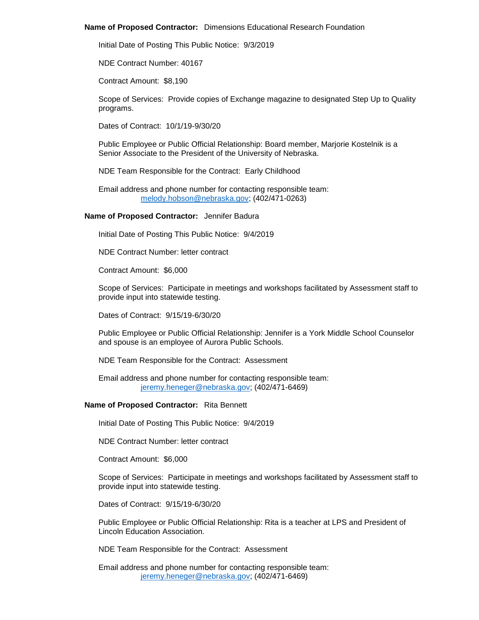#### **Name of Proposed Contractor:** Dimensions Educational Research Foundation

Initial Date of Posting This Public Notice: 9/3/2019

NDE Contract Number: 40167

Contract Amount: \$8,190

Scope of Services: Provide copies of Exchange magazine to designated Step Up to Quality programs.

Dates of Contract: 10/1/19-9/30/20

Public Employee or Public Official Relationship: Board member, Marjorie Kostelnik is a Senior Associate to the President of the University of Nebraska.

NDE Team Responsible for the Contract: Early Childhood

Email address and phone number for contacting responsible team: [melody.hobson@nebraska.gov;](mailto:melody.hobson@nebraska.gov) (402/471-0263)

#### **Name of Proposed Contractor:** Jennifer Badura

Initial Date of Posting This Public Notice: 9/4/2019

NDE Contract Number: letter contract

Contract Amount: \$6,000

Scope of Services: Participate in meetings and workshops facilitated by Assessment staff to provide input into statewide testing.

Dates of Contract: 9/15/19-6/30/20

Public Employee or Public Official Relationship: Jennifer is a York Middle School Counselor and spouse is an employee of Aurora Public Schools.

NDE Team Responsible for the Contract: Assessment

Email address and phone number for contacting responsible team: [jeremy.heneger@nebraska.gov;](mailto:jeremy.heneger@nebraska.gov) (402/471-6469)

#### **Name of Proposed Contractor:** Rita Bennett

Initial Date of Posting This Public Notice: 9/4/2019

NDE Contract Number: letter contract

Contract Amount: \$6,000

Scope of Services: Participate in meetings and workshops facilitated by Assessment staff to provide input into statewide testing.

Dates of Contract: 9/15/19-6/30/20

Public Employee or Public Official Relationship: Rita is a teacher at LPS and President of Lincoln Education Association.

NDE Team Responsible for the Contract: Assessment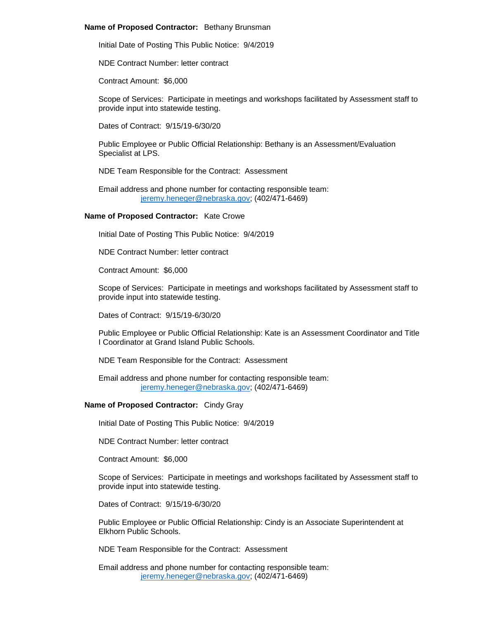#### **Name of Proposed Contractor:** Bethany Brunsman

Initial Date of Posting This Public Notice: 9/4/2019

NDE Contract Number: letter contract

Contract Amount: \$6,000

Scope of Services: Participate in meetings and workshops facilitated by Assessment staff to provide input into statewide testing.

Dates of Contract: 9/15/19-6/30/20

Public Employee or Public Official Relationship: Bethany is an Assessment/Evaluation Specialist at LPS.

NDE Team Responsible for the Contract: Assessment

Email address and phone number for contacting responsible team: [jeremy.heneger@nebraska.gov;](mailto:jeremy.heneger@nebraska.gov) (402/471-6469)

#### **Name of Proposed Contractor:** Kate Crowe

Initial Date of Posting This Public Notice: 9/4/2019

NDE Contract Number: letter contract

Contract Amount: \$6,000

Scope of Services: Participate in meetings and workshops facilitated by Assessment staff to provide input into statewide testing.

Dates of Contract: 9/15/19-6/30/20

Public Employee or Public Official Relationship: Kate is an Assessment Coordinator and Title I Coordinator at Grand Island Public Schools.

NDE Team Responsible for the Contract: Assessment

Email address and phone number for contacting responsible team: [jeremy.heneger@nebraska.gov;](mailto:jeremy.heneger@nebraska.gov) (402/471-6469)

## **Name of Proposed Contractor:** Cindy Gray

Initial Date of Posting This Public Notice: 9/4/2019

NDE Contract Number: letter contract

Contract Amount: \$6,000

Scope of Services: Participate in meetings and workshops facilitated by Assessment staff to provide input into statewide testing.

Dates of Contract: 9/15/19-6/30/20

Public Employee or Public Official Relationship: Cindy is an Associate Superintendent at Elkhorn Public Schools.

NDE Team Responsible for the Contract: Assessment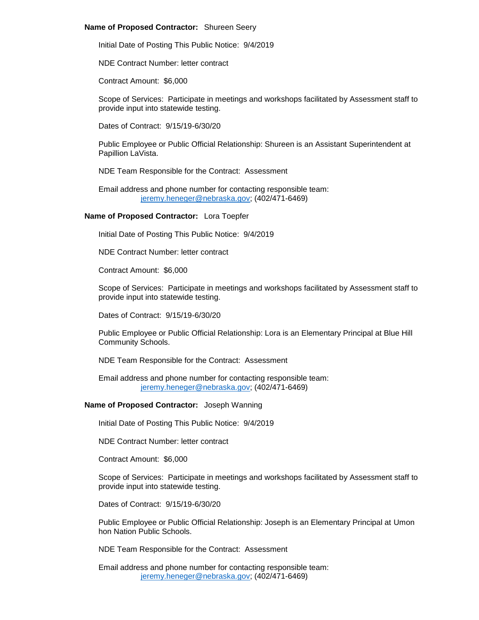### **Name of Proposed Contractor:** Shureen Seery

Initial Date of Posting This Public Notice: 9/4/2019

NDE Contract Number: letter contract

Contract Amount: \$6,000

Scope of Services: Participate in meetings and workshops facilitated by Assessment staff to provide input into statewide testing.

Dates of Contract: 9/15/19-6/30/20

Public Employee or Public Official Relationship: Shureen is an Assistant Superintendent at Papillion LaVista.

NDE Team Responsible for the Contract: Assessment

Email address and phone number for contacting responsible team: [jeremy.heneger@nebraska.gov;](mailto:jeremy.heneger@nebraska.gov) (402/471-6469)

# **Name of Proposed Contractor:** Lora Toepfer

Initial Date of Posting This Public Notice: 9/4/2019

NDE Contract Number: letter contract

Contract Amount: \$6,000

Scope of Services: Participate in meetings and workshops facilitated by Assessment staff to provide input into statewide testing.

Dates of Contract: 9/15/19-6/30/20

Public Employee or Public Official Relationship: Lora is an Elementary Principal at Blue Hill Community Schools.

NDE Team Responsible for the Contract: Assessment

Email address and phone number for contacting responsible team: [jeremy.heneger@nebraska.gov;](mailto:jeremy.heneger@nebraska.gov) (402/471-6469)

# **Name of Proposed Contractor:** Joseph Wanning

Initial Date of Posting This Public Notice: 9/4/2019

NDE Contract Number: letter contract

Contract Amount: \$6,000

Scope of Services: Participate in meetings and workshops facilitated by Assessment staff to provide input into statewide testing.

Dates of Contract: 9/15/19-6/30/20

Public Employee or Public Official Relationship: Joseph is an Elementary Principal at Umon hon Nation Public Schools.

NDE Team Responsible for the Contract: Assessment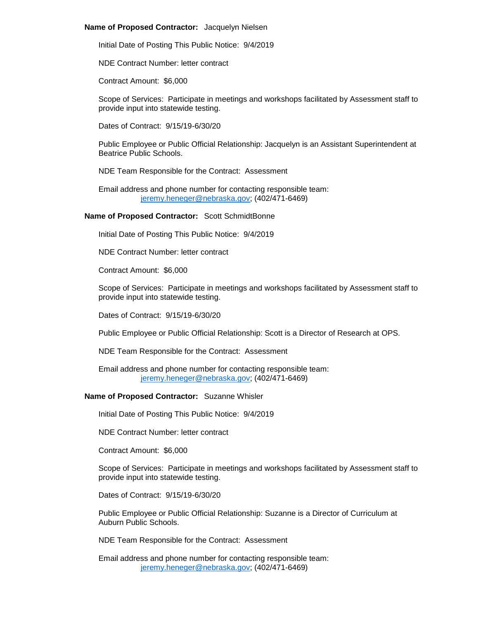#### **Name of Proposed Contractor:** Jacquelyn Nielsen

Initial Date of Posting This Public Notice: 9/4/2019

NDE Contract Number: letter contract

Contract Amount: \$6,000

Scope of Services: Participate in meetings and workshops facilitated by Assessment staff to provide input into statewide testing.

Dates of Contract: 9/15/19-6/30/20

Public Employee or Public Official Relationship: Jacquelyn is an Assistant Superintendent at Beatrice Public Schools.

NDE Team Responsible for the Contract: Assessment

Email address and phone number for contacting responsible team: [jeremy.heneger@nebraska.gov;](mailto:jeremy.heneger@nebraska.gov) (402/471-6469)

#### **Name of Proposed Contractor:** Scott SchmidtBonne

Initial Date of Posting This Public Notice: 9/4/2019

NDE Contract Number: letter contract

Contract Amount: \$6,000

Scope of Services: Participate in meetings and workshops facilitated by Assessment staff to provide input into statewide testing.

Dates of Contract: 9/15/19-6/30/20

Public Employee or Public Official Relationship: Scott is a Director of Research at OPS.

NDE Team Responsible for the Contract: Assessment

Email address and phone number for contacting responsible team: [jeremy.heneger@nebraska.gov;](mailto:jeremy.heneger@nebraska.gov) (402/471-6469)

## **Name of Proposed Contractor:** Suzanne Whisler

Initial Date of Posting This Public Notice: 9/4/2019

NDE Contract Number: letter contract

Contract Amount: \$6,000

Scope of Services: Participate in meetings and workshops facilitated by Assessment staff to provide input into statewide testing.

Dates of Contract: 9/15/19-6/30/20

Public Employee or Public Official Relationship: Suzanne is a Director of Curriculum at Auburn Public Schools.

NDE Team Responsible for the Contract: Assessment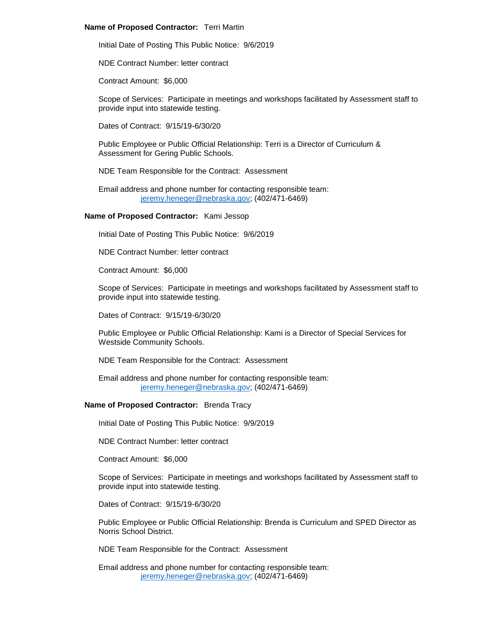### **Name of Proposed Contractor:** Terri Martin

Initial Date of Posting This Public Notice: 9/6/2019

NDE Contract Number: letter contract

Contract Amount: \$6,000

Scope of Services: Participate in meetings and workshops facilitated by Assessment staff to provide input into statewide testing.

Dates of Contract: 9/15/19-6/30/20

Public Employee or Public Official Relationship: Terri is a Director of Curriculum & Assessment for Gering Public Schools.

NDE Team Responsible for the Contract: Assessment

Email address and phone number for contacting responsible team: [jeremy.heneger@nebraska.gov;](mailto:jeremy.heneger@nebraska.gov) (402/471-6469)

# **Name of Proposed Contractor:** Kami Jessop

Initial Date of Posting This Public Notice: 9/6/2019

NDE Contract Number: letter contract

Contract Amount: \$6,000

Scope of Services: Participate in meetings and workshops facilitated by Assessment staff to provide input into statewide testing.

Dates of Contract: 9/15/19-6/30/20

Public Employee or Public Official Relationship: Kami is a Director of Special Services for Westside Community Schools.

NDE Team Responsible for the Contract: Assessment

Email address and phone number for contacting responsible team: [jeremy.heneger@nebraska.gov;](mailto:jeremy.heneger@nebraska.gov) (402/471-6469)

# **Name of Proposed Contractor:** Brenda Tracy

Initial Date of Posting This Public Notice: 9/9/2019

NDE Contract Number: letter contract

Contract Amount: \$6,000

Scope of Services: Participate in meetings and workshops facilitated by Assessment staff to provide input into statewide testing.

Dates of Contract: 9/15/19-6/30/20

Public Employee or Public Official Relationship: Brenda is Curriculum and SPED Director as Norris School District.

NDE Team Responsible for the Contract: Assessment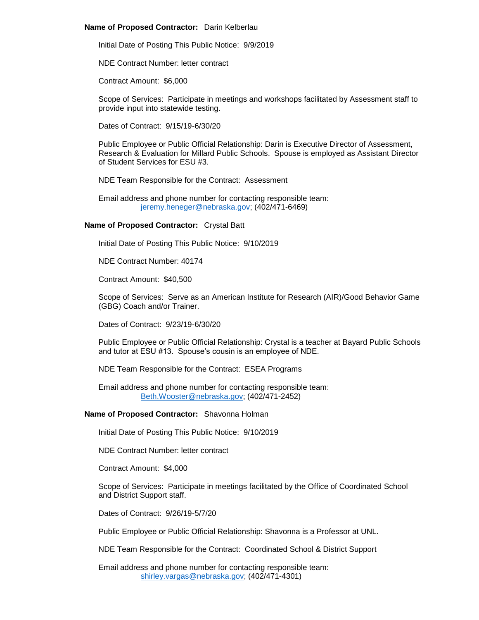## **Name of Proposed Contractor:** Darin Kelberlau

Initial Date of Posting This Public Notice: 9/9/2019

NDE Contract Number: letter contract

Contract Amount: \$6,000

Scope of Services: Participate in meetings and workshops facilitated by Assessment staff to provide input into statewide testing.

Dates of Contract: 9/15/19-6/30/20

Public Employee or Public Official Relationship: Darin is Executive Director of Assessment, Research & Evaluation for Millard Public Schools. Spouse is employed as Assistant Director of Student Services for ESU #3.

NDE Team Responsible for the Contract: Assessment

Email address and phone number for contacting responsible team: [jeremy.heneger@nebraska.gov;](mailto:jeremy.heneger@nebraska.gov) (402/471-6469)

# **Name of Proposed Contractor:** Crystal Batt

Initial Date of Posting This Public Notice: 9/10/2019

NDE Contract Number: 40174

Contract Amount: \$40,500

Scope of Services: Serve as an American Institute for Research (AIR)/Good Behavior Game (GBG) Coach and/or Trainer.

Dates of Contract: 9/23/19-6/30/20

Public Employee or Public Official Relationship: Crystal is a teacher at Bayard Public Schools and tutor at ESU #13. Spouse's cousin is an employee of NDE.

NDE Team Responsible for the Contract: ESEA Programs

Email address and phone number for contacting responsible team: [Beth.Wooster@nebraska.gov;](mailto:Beth.Wooster@nebraska.gov) (402/471-2452)

## **Name of Proposed Contractor:** Shavonna Holman

Initial Date of Posting This Public Notice: 9/10/2019

NDE Contract Number: letter contract

Contract Amount: \$4,000

Scope of Services: Participate in meetings facilitated by the Office of Coordinated School and District Support staff.

Dates of Contract: 9/26/19-5/7/20

Public Employee or Public Official Relationship: Shavonna is a Professor at UNL.

NDE Team Responsible for the Contract: Coordinated School & District Support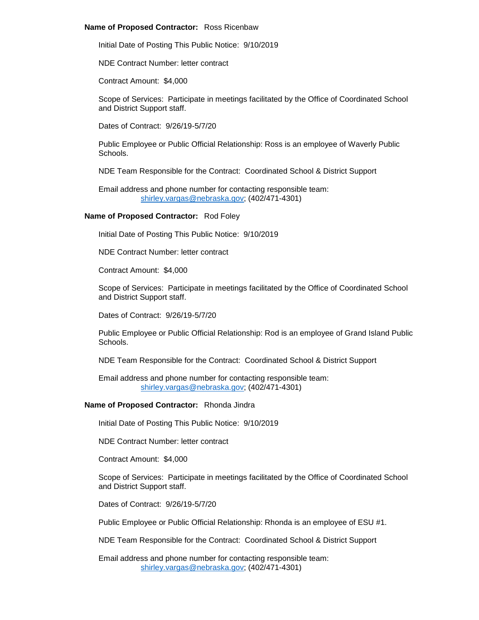#### **Name of Proposed Contractor:** Ross Ricenbaw

Initial Date of Posting This Public Notice: 9/10/2019

NDE Contract Number: letter contract

Contract Amount: \$4,000

Scope of Services: Participate in meetings facilitated by the Office of Coordinated School and District Support staff.

Dates of Contract: 9/26/19-5/7/20

Public Employee or Public Official Relationship: Ross is an employee of Waverly Public Schools.

NDE Team Responsible for the Contract: Coordinated School & District Support

Email address and phone number for contacting responsible team: [shirley.vargas@nebraska.gov;](mailto:shirley.vargas@nebraska.gov) (402/471-4301)

# **Name of Proposed Contractor:** Rod Foley

Initial Date of Posting This Public Notice: 9/10/2019

NDE Contract Number: letter contract

Contract Amount: \$4,000

Scope of Services: Participate in meetings facilitated by the Office of Coordinated School and District Support staff.

Dates of Contract: 9/26/19-5/7/20

Public Employee or Public Official Relationship: Rod is an employee of Grand Island Public Schools.

NDE Team Responsible for the Contract: Coordinated School & District Support

Email address and phone number for contacting responsible team: [shirley.vargas@nebraska.gov;](mailto:shirley.vargas@nebraska.gov) (402/471-4301)

# **Name of Proposed Contractor:** Rhonda Jindra

Initial Date of Posting This Public Notice: 9/10/2019

NDE Contract Number: letter contract

Contract Amount: \$4,000

Scope of Services: Participate in meetings facilitated by the Office of Coordinated School and District Support staff.

Dates of Contract: 9/26/19-5/7/20

Public Employee or Public Official Relationship: Rhonda is an employee of ESU #1.

NDE Team Responsible for the Contract: Coordinated School & District Support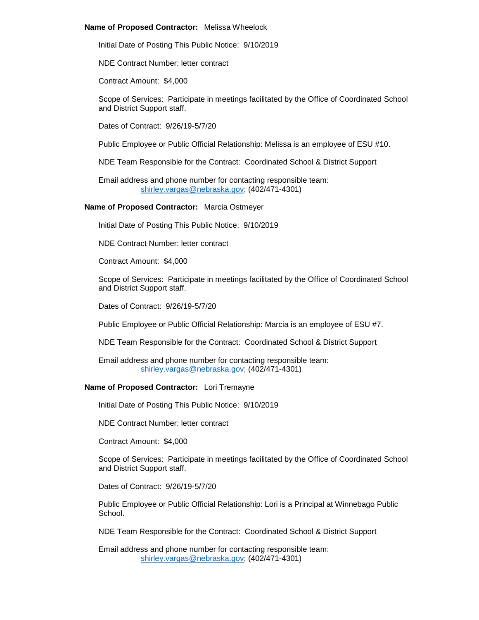## **Name of Proposed Contractor:** Melissa Wheelock

Initial Date of Posting This Public Notice: 9/10/2019

NDE Contract Number: letter contract

Contract Amount: \$4,000

Scope of Services: Participate in meetings facilitated by the Office of Coordinated School and District Support staff.

Dates of Contract: 9/26/19-5/7/20

Public Employee or Public Official Relationship: Melissa is an employee of ESU #10.

NDE Team Responsible for the Contract: Coordinated School & District Support

Email address and phone number for contacting responsible team: [shirley.vargas@nebraska.gov;](mailto:shirley.vargas@nebraska.gov) (402/471-4301)

# **Name of Proposed Contractor:** Marcia Ostmeyer

Initial Date of Posting This Public Notice: 9/10/2019

NDE Contract Number: letter contract

Contract Amount: \$4,000

Scope of Services: Participate in meetings facilitated by the Office of Coordinated School and District Support staff.

Dates of Contract: 9/26/19-5/7/20

Public Employee or Public Official Relationship: Marcia is an employee of ESU #7.

NDE Team Responsible for the Contract: Coordinated School & District Support

Email address and phone number for contacting responsible team: [shirley.vargas@nebraska.gov;](mailto:shirley.vargas@nebraska.gov) (402/471-4301)

# **Name of Proposed Contractor:** Lori Tremayne

Initial Date of Posting This Public Notice: 9/10/2019

NDE Contract Number: letter contract

Contract Amount: \$4,000

Scope of Services: Participate in meetings facilitated by the Office of Coordinated School and District Support staff.

Dates of Contract: 9/26/19-5/7/20

Public Employee or Public Official Relationship: Lori is a Principal at Winnebago Public School.

NDE Team Responsible for the Contract: Coordinated School & District Support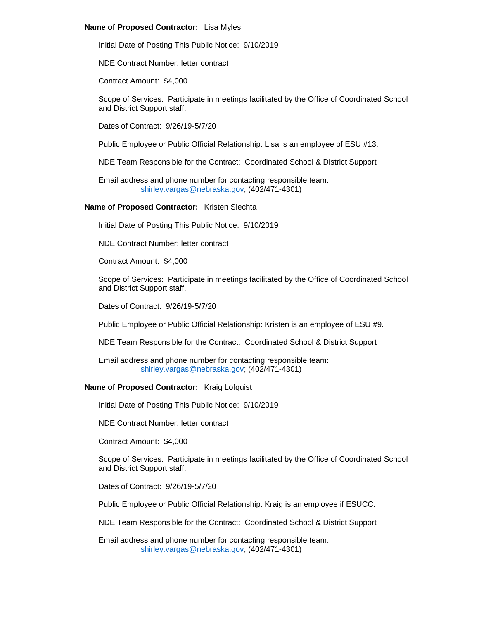# **Name of Proposed Contractor:** Lisa Myles

Initial Date of Posting This Public Notice: 9/10/2019

NDE Contract Number: letter contract

Contract Amount: \$4,000

Scope of Services: Participate in meetings facilitated by the Office of Coordinated School and District Support staff.

Dates of Contract: 9/26/19-5/7/20

Public Employee or Public Official Relationship: Lisa is an employee of ESU #13.

NDE Team Responsible for the Contract: Coordinated School & District Support

Email address and phone number for contacting responsible team: [shirley.vargas@nebraska.gov;](mailto:shirley.vargas@nebraska.gov) (402/471-4301)

# **Name of Proposed Contractor:** Kristen Slechta

Initial Date of Posting This Public Notice: 9/10/2019

NDE Contract Number: letter contract

Contract Amount: \$4,000

Scope of Services: Participate in meetings facilitated by the Office of Coordinated School and District Support staff.

Dates of Contract: 9/26/19-5/7/20

Public Employee or Public Official Relationship: Kristen is an employee of ESU #9.

NDE Team Responsible for the Contract: Coordinated School & District Support

Email address and phone number for contacting responsible team: [shirley.vargas@nebraska.gov;](mailto:shirley.vargas@nebraska.gov) (402/471-4301)

# **Name of Proposed Contractor:** Kraig Lofquist

Initial Date of Posting This Public Notice: 9/10/2019

NDE Contract Number: letter contract

Contract Amount: \$4,000

Scope of Services: Participate in meetings facilitated by the Office of Coordinated School and District Support staff.

Dates of Contract: 9/26/19-5/7/20

Public Employee or Public Official Relationship: Kraig is an employee if ESUCC.

NDE Team Responsible for the Contract: Coordinated School & District Support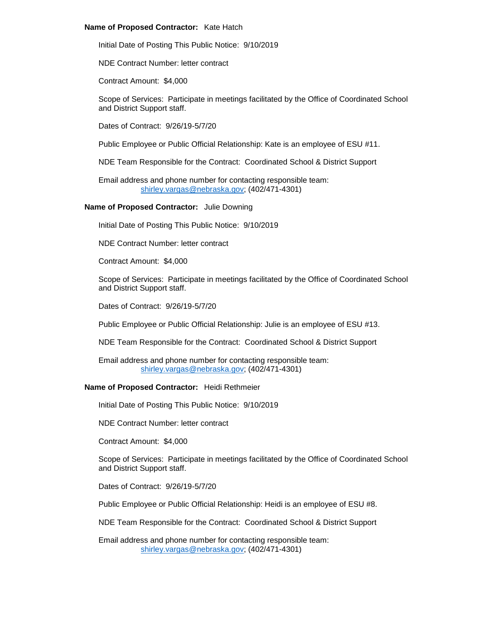## **Name of Proposed Contractor:** Kate Hatch

Initial Date of Posting This Public Notice: 9/10/2019

NDE Contract Number: letter contract

Contract Amount: \$4,000

Scope of Services: Participate in meetings facilitated by the Office of Coordinated School and District Support staff.

Dates of Contract: 9/26/19-5/7/20

Public Employee or Public Official Relationship: Kate is an employee of ESU #11.

NDE Team Responsible for the Contract: Coordinated School & District Support

Email address and phone number for contacting responsible team: [shirley.vargas@nebraska.gov;](mailto:shirley.vargas@nebraska.gov) (402/471-4301)

# **Name of Proposed Contractor:** Julie Downing

Initial Date of Posting This Public Notice: 9/10/2019

NDE Contract Number: letter contract

Contract Amount: \$4,000

Scope of Services: Participate in meetings facilitated by the Office of Coordinated School and District Support staff.

Dates of Contract: 9/26/19-5/7/20

Public Employee or Public Official Relationship: Julie is an employee of ESU #13.

NDE Team Responsible for the Contract: Coordinated School & District Support

Email address and phone number for contacting responsible team: [shirley.vargas@nebraska.gov;](mailto:shirley.vargas@nebraska.gov) (402/471-4301)

# **Name of Proposed Contractor:** Heidi Rethmeier

Initial Date of Posting This Public Notice: 9/10/2019

NDE Contract Number: letter contract

Contract Amount: \$4,000

Scope of Services: Participate in meetings facilitated by the Office of Coordinated School and District Support staff.

Dates of Contract: 9/26/19-5/7/20

Public Employee or Public Official Relationship: Heidi is an employee of ESU #8.

NDE Team Responsible for the Contract: Coordinated School & District Support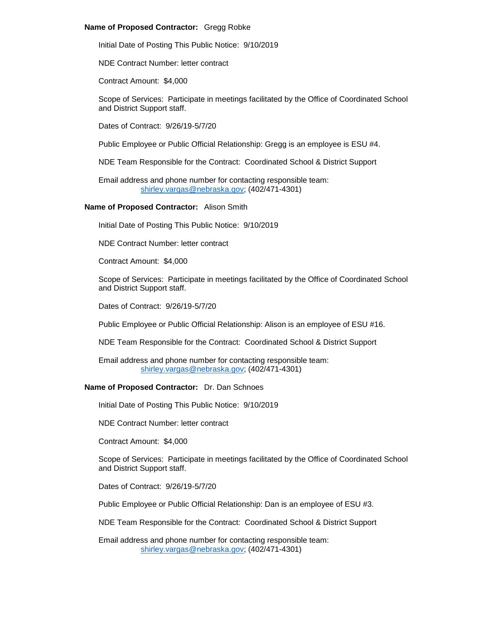# **Name of Proposed Contractor:** Gregg Robke

Initial Date of Posting This Public Notice: 9/10/2019

NDE Contract Number: letter contract

Contract Amount: \$4,000

Scope of Services: Participate in meetings facilitated by the Office of Coordinated School and District Support staff.

Dates of Contract: 9/26/19-5/7/20

Public Employee or Public Official Relationship: Gregg is an employee is ESU #4.

NDE Team Responsible for the Contract: Coordinated School & District Support

Email address and phone number for contacting responsible team: [shirley.vargas@nebraska.gov;](mailto:shirley.vargas@nebraska.gov) (402/471-4301)

## **Name of Proposed Contractor:** Alison Smith

Initial Date of Posting This Public Notice: 9/10/2019

NDE Contract Number: letter contract

Contract Amount: \$4,000

Scope of Services: Participate in meetings facilitated by the Office of Coordinated School and District Support staff.

Dates of Contract: 9/26/19-5/7/20

Public Employee or Public Official Relationship: Alison is an employee of ESU #16.

NDE Team Responsible for the Contract: Coordinated School & District Support

Email address and phone number for contacting responsible team: [shirley.vargas@nebraska.gov;](mailto:shirley.vargas@nebraska.gov) (402/471-4301)

# **Name of Proposed Contractor:** Dr. Dan Schnoes

Initial Date of Posting This Public Notice: 9/10/2019

NDE Contract Number: letter contract

Contract Amount: \$4,000

Scope of Services: Participate in meetings facilitated by the Office of Coordinated School and District Support staff.

Dates of Contract: 9/26/19-5/7/20

Public Employee or Public Official Relationship: Dan is an employee of ESU #3.

NDE Team Responsible for the Contract: Coordinated School & District Support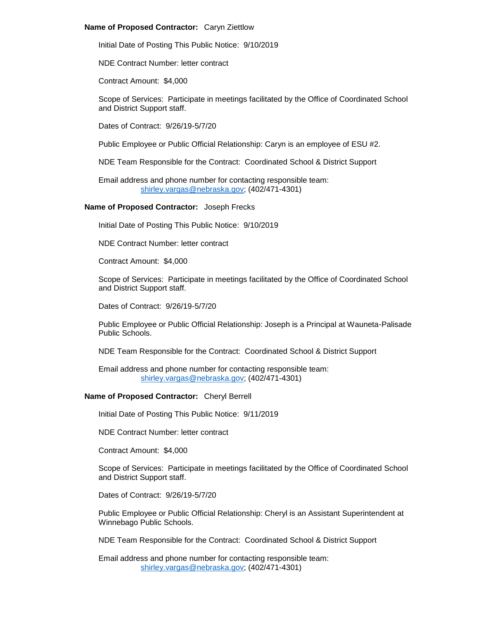## **Name of Proposed Contractor:** Caryn Ziettlow

Initial Date of Posting This Public Notice: 9/10/2019

NDE Contract Number: letter contract

Contract Amount: \$4,000

Scope of Services: Participate in meetings facilitated by the Office of Coordinated School and District Support staff.

Dates of Contract: 9/26/19-5/7/20

Public Employee or Public Official Relationship: Caryn is an employee of ESU #2.

NDE Team Responsible for the Contract: Coordinated School & District Support

Email address and phone number for contacting responsible team: [shirley.vargas@nebraska.gov;](mailto:shirley.vargas@nebraska.gov) (402/471-4301)

# **Name of Proposed Contractor:** Joseph Frecks

Initial Date of Posting This Public Notice: 9/10/2019

NDE Contract Number: letter contract

Contract Amount: \$4,000

Scope of Services: Participate in meetings facilitated by the Office of Coordinated School and District Support staff.

Dates of Contract: 9/26/19-5/7/20

Public Employee or Public Official Relationship: Joseph is a Principal at Wauneta-Palisade Public Schools.

NDE Team Responsible for the Contract: Coordinated School & District Support

Email address and phone number for contacting responsible team: [shirley.vargas@nebraska.gov;](mailto:shirley.vargas@nebraska.gov) (402/471-4301)

# **Name of Proposed Contractor:** Cheryl Berrell

Initial Date of Posting This Public Notice: 9/11/2019

NDE Contract Number: letter contract

Contract Amount: \$4,000

Scope of Services: Participate in meetings facilitated by the Office of Coordinated School and District Support staff.

Dates of Contract: 9/26/19-5/7/20

Public Employee or Public Official Relationship: Cheryl is an Assistant Superintendent at Winnebago Public Schools.

NDE Team Responsible for the Contract: Coordinated School & District Support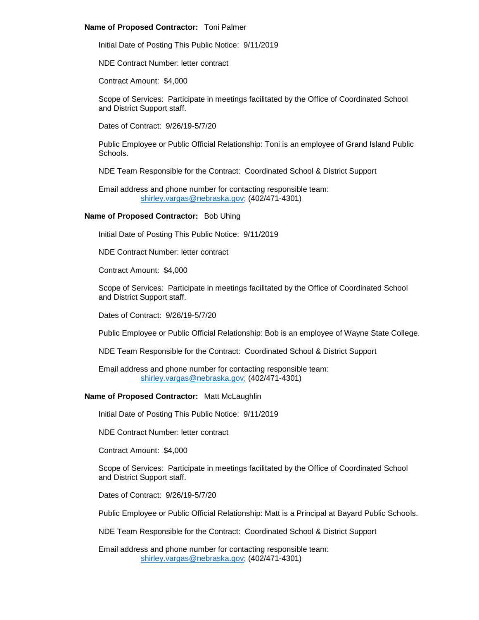## **Name of Proposed Contractor:** Toni Palmer

Initial Date of Posting This Public Notice: 9/11/2019

NDE Contract Number: letter contract

Contract Amount: \$4,000

Scope of Services: Participate in meetings facilitated by the Office of Coordinated School and District Support staff.

Dates of Contract: 9/26/19-5/7/20

Public Employee or Public Official Relationship: Toni is an employee of Grand Island Public Schools.

NDE Team Responsible for the Contract: Coordinated School & District Support

Email address and phone number for contacting responsible team: [shirley.vargas@nebraska.gov;](mailto:shirley.vargas@nebraska.gov) (402/471-4301)

# **Name of Proposed Contractor:** Bob Uhing

Initial Date of Posting This Public Notice: 9/11/2019

NDE Contract Number: letter contract

Contract Amount: \$4,000

Scope of Services: Participate in meetings facilitated by the Office of Coordinated School and District Support staff.

Dates of Contract: 9/26/19-5/7/20

Public Employee or Public Official Relationship: Bob is an employee of Wayne State College.

NDE Team Responsible for the Contract: Coordinated School & District Support

Email address and phone number for contacting responsible team: [shirley.vargas@nebraska.gov;](mailto:shirley.vargas@nebraska.gov) (402/471-4301)

# **Name of Proposed Contractor:** Matt McLaughlin

Initial Date of Posting This Public Notice: 9/11/2019

NDE Contract Number: letter contract

Contract Amount: \$4,000

Scope of Services: Participate in meetings facilitated by the Office of Coordinated School and District Support staff.

Dates of Contract: 9/26/19-5/7/20

Public Employee or Public Official Relationship: Matt is a Principal at Bayard Public Schools.

NDE Team Responsible for the Contract: Coordinated School & District Support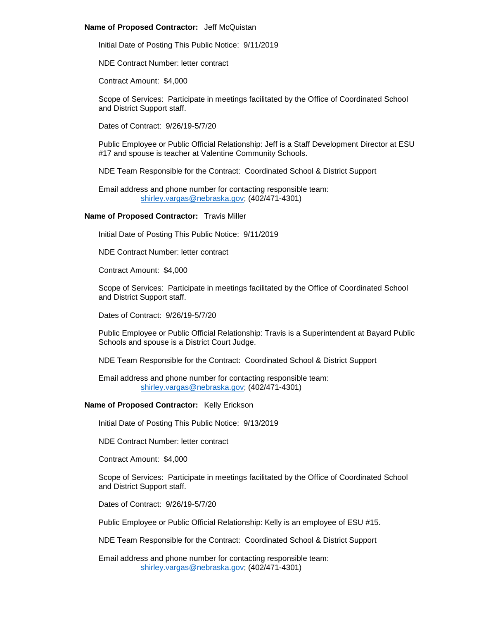## **Name of Proposed Contractor:** Jeff McQuistan

Initial Date of Posting This Public Notice: 9/11/2019

NDE Contract Number: letter contract

Contract Amount: \$4,000

Scope of Services: Participate in meetings facilitated by the Office of Coordinated School and District Support staff.

Dates of Contract: 9/26/19-5/7/20

Public Employee or Public Official Relationship: Jeff is a Staff Development Director at ESU #17 and spouse is teacher at Valentine Community Schools.

NDE Team Responsible for the Contract: Coordinated School & District Support

Email address and phone number for contacting responsible team: [shirley.vargas@nebraska.gov;](mailto:shirley.vargas@nebraska.gov) (402/471-4301)

# **Name of Proposed Contractor:** Travis Miller

Initial Date of Posting This Public Notice: 9/11/2019

NDE Contract Number: letter contract

Contract Amount: \$4,000

Scope of Services: Participate in meetings facilitated by the Office of Coordinated School and District Support staff.

Dates of Contract: 9/26/19-5/7/20

Public Employee or Public Official Relationship: Travis is a Superintendent at Bayard Public Schools and spouse is a District Court Judge.

NDE Team Responsible for the Contract: Coordinated School & District Support

Email address and phone number for contacting responsible team: [shirley.vargas@nebraska.gov;](mailto:shirley.vargas@nebraska.gov) (402/471-4301)

# **Name of Proposed Contractor:** Kelly Erickson

Initial Date of Posting This Public Notice: 9/13/2019

NDE Contract Number: letter contract

Contract Amount: \$4,000

Scope of Services: Participate in meetings facilitated by the Office of Coordinated School and District Support staff.

Dates of Contract: 9/26/19-5/7/20

Public Employee or Public Official Relationship: Kelly is an employee of ESU #15.

NDE Team Responsible for the Contract: Coordinated School & District Support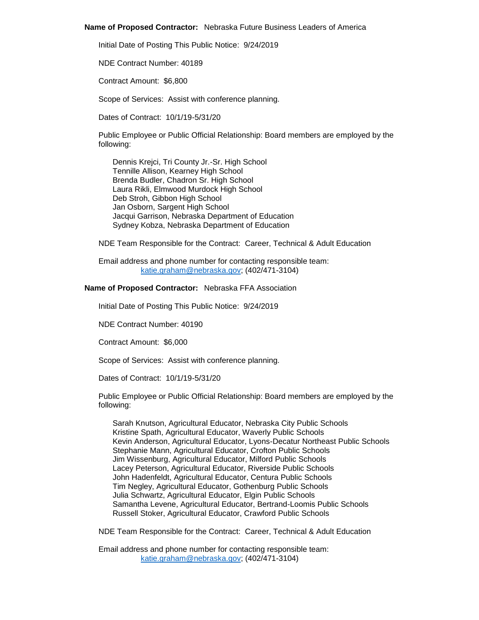#### **Name of Proposed Contractor:** Nebraska Future Business Leaders of America

Initial Date of Posting This Public Notice: 9/24/2019

NDE Contract Number: 40189

Contract Amount: \$6,800

Scope of Services: Assist with conference planning.

Dates of Contract: 10/1/19-5/31/20

Public Employee or Public Official Relationship: Board members are employed by the following:

Dennis Krejci, Tri County Jr.-Sr. High School Tennille Allison, Kearney High School Brenda Budler, Chadron Sr. High School Laura Rikli, Elmwood Murdock High School Deb Stroh, Gibbon High School Jan Osborn, Sargent High School Jacqui Garrison, Nebraska Department of Education Sydney Kobza, Nebraska Department of Education

NDE Team Responsible for the Contract: Career, Technical & Adult Education

Email address and phone number for contacting responsible team: [katie.graham@nebraska.gov;](mailto:katie.graham@nebraska.gov) (402/471-3104)

# **Name of Proposed Contractor:** Nebraska FFA Association

Initial Date of Posting This Public Notice: 9/24/2019

NDE Contract Number: 40190

Contract Amount: \$6,000

Scope of Services: Assist with conference planning.

Dates of Contract: 10/1/19-5/31/20

Public Employee or Public Official Relationship: Board members are employed by the following:

Sarah Knutson, Agricultural Educator, Nebraska City Public Schools Kristine Spath, Agricultural Educator, Waverly Public Schools Kevin Anderson, Agricultural Educator, Lyons-Decatur Northeast Public Schools Stephanie Mann, Agricultural Educator, Crofton Public Schools Jim Wissenburg, Agricultural Educator, Milford Public Schools Lacey Peterson, Agricultural Educator, Riverside Public Schools John Hadenfeldt, Agricultural Educator, Centura Public Schools Tim Negley, Agricultural Educator, Gothenburg Public Schools Julia Schwartz, Agricultural Educator, Elgin Public Schools Samantha Levene, Agricultural Educator, Bertrand-Loomis Public Schools Russell Stoker, Agricultural Educator, Crawford Public Schools

NDE Team Responsible for the Contract: Career, Technical & Adult Education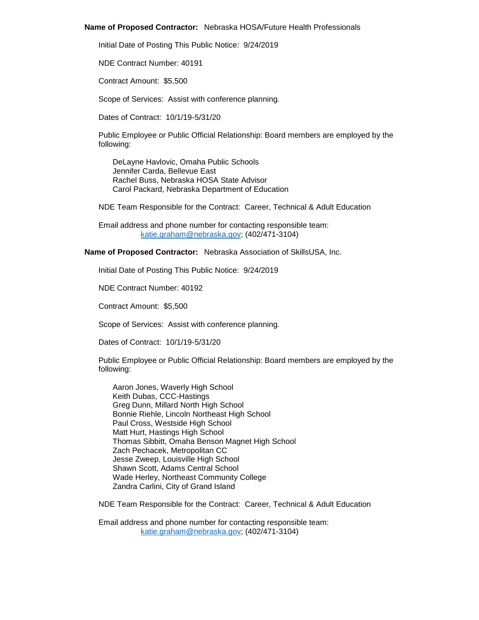#### **Name of Proposed Contractor:** Nebraska HOSA/Future Health Professionals

Initial Date of Posting This Public Notice: 9/24/2019

NDE Contract Number: 40191

Contract Amount: \$5,500

Scope of Services: Assist with conference planning.

Dates of Contract: 10/1/19-5/31/20

Public Employee or Public Official Relationship: Board members are employed by the following:

DeLayne Havlovic, Omaha Public Schools Jennifer Carda, Bellevue East Rachel Buss, Nebraska HOSA State Advisor Carol Packard, Nebraska Department of Education

NDE Team Responsible for the Contract: Career, Technical & Adult Education

Email address and phone number for contacting responsible team: [katie.graham@nebraska.gov;](mailto:katie.graham@nebraska.gov) (402/471-3104)

**Name of Proposed Contractor:** Nebraska Association of SkillsUSA, Inc.

Initial Date of Posting This Public Notice: 9/24/2019

NDE Contract Number: 40192

Contract Amount: \$5,500

Scope of Services: Assist with conference planning.

Dates of Contract: 10/1/19-5/31/20

Public Employee or Public Official Relationship: Board members are employed by the following:

Aaron Jones, Waverly High School Keith Dubas, CCC-Hastings Greg Dunn, Millard North High School Bonnie Riehle, Lincoln Northeast High School Paul Cross, Westside High School Matt Hurt, Hastings High School Thomas Sibbitt, Omaha Benson Magnet High School Zach Pechacek, Metropolitan CC Jesse Zweep, Louisville High School Shawn Scott, Adams Central School Wade Herley, Northeast Community College Zandra Carlini, City of Grand Island

NDE Team Responsible for the Contract: Career, Technical & Adult Education